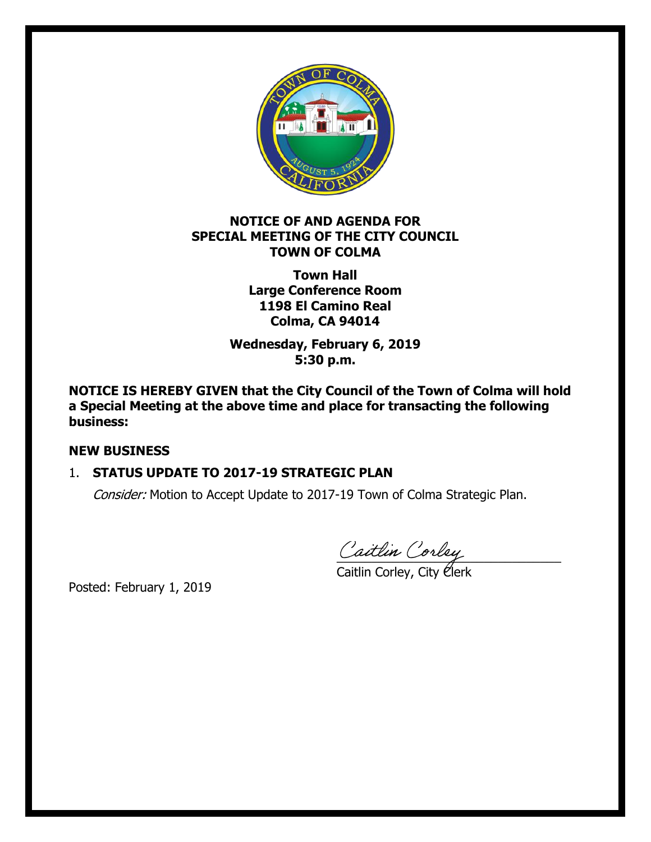

# **NOTICE OF AND AGENDA FOR SPECIAL MEETING OF THE CITY COUNCIL TOWN OF COLMA**

**Town Hall Large Conference Room 1198 El Camino Real Colma, CA 94014**

**Wednesday, February 6, 2019 5:30 p.m.**

**NOTICE IS HEREBY GIVEN that the City Council of the Town of Colma will hold a Special Meeting at the above time and place for transacting the following business:**

# **NEW BUSINESS**

# 1. **STATUS UPDATE TO 2017-19 STRATEGIC PLAN**

Consider: Motion to Accept Update to 2017-19 Town of Colma Strategic Plan.

\_\_\_\_\_\_\_\_\_\_\_\_\_\_\_\_\_\_\_\_\_\_\_\_\_\_\_\_\_\_\_\_ Caitlin Corley

**Caitlin Corley, City Clerk** 

Posted: February 1, 2019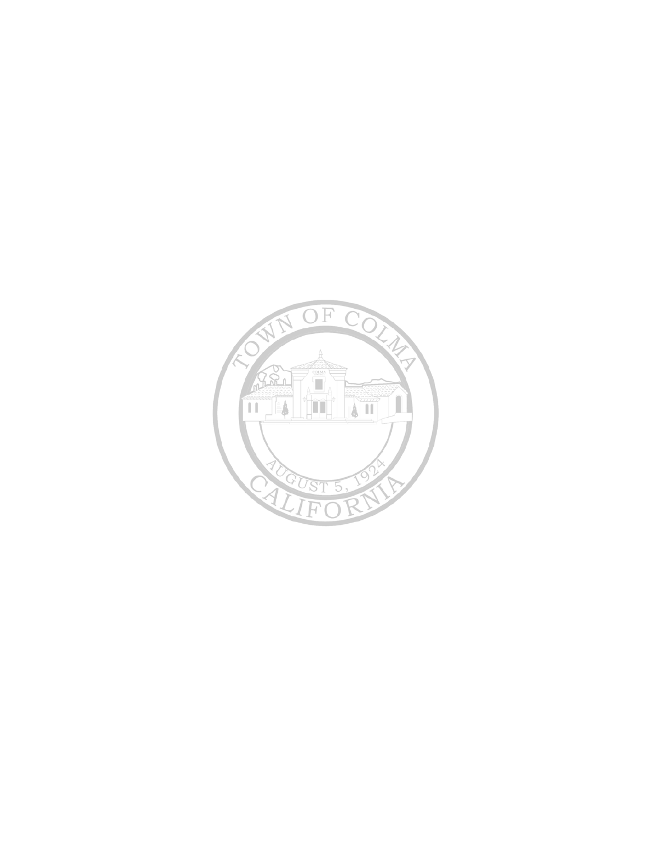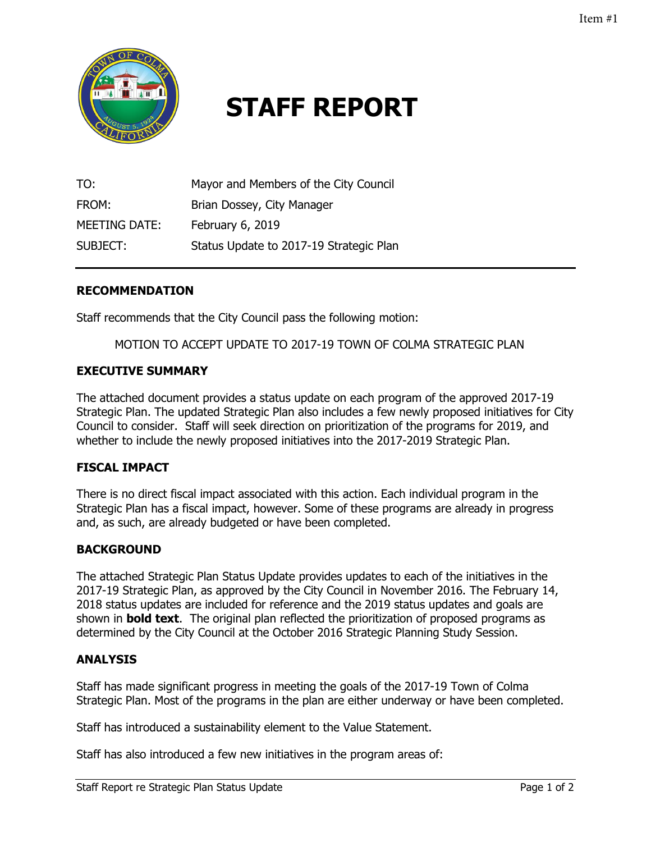

# **STAFF REPORT**

| TO:           | Mayor and Members of the City Council   |
|---------------|-----------------------------------------|
| FROM:         | Brian Dossey, City Manager              |
| MEETING DATE: | February 6, 2019                        |
| SUBJECT:      | Status Update to 2017-19 Strategic Plan |

## **RECOMMENDATION**

Staff recommends that the City Council pass the following motion:

MOTION TO ACCEPT UPDATE TO 2017-19 TOWN OF COLMA STRATEGIC PLAN

## **EXECUTIVE SUMMARY**

The attached document provides a status update on each program of the approved 2017-19 Strategic Plan. The updated Strategic Plan also includes a few newly proposed initiatives for City Council to consider. Staff will seek direction on prioritization of the programs for 2019, and whether to include the newly proposed initiatives into the 2017-2019 Strategic Plan.

#### **FISCAL IMPACT**

There is no direct fiscal impact associated with this action. Each individual program in the Strategic Plan has a fiscal impact, however. Some of these programs are already in progress and, as such, are already budgeted or have been completed.

#### **BACKGROUND**

The attached Strategic Plan Status Update provides updates to each of the initiatives in the 2017-19 Strategic Plan, as approved by the City Council in November 2016. The February 14, 2018 status updates are included for reference and the 2019 status updates and goals are shown in **bold text**. The original plan reflected the prioritization of proposed programs as determined by the City Council at the October 2016 Strategic Planning Study Session.

#### **ANALYSIS**

Staff has made significant progress in meeting the goals of the 2017-19 Town of Colma Strategic Plan. Most of the programs in the plan are either underway or have been completed.

Staff has introduced a sustainability element to the Value Statement.

Staff has also introduced a few new initiatives in the program areas of: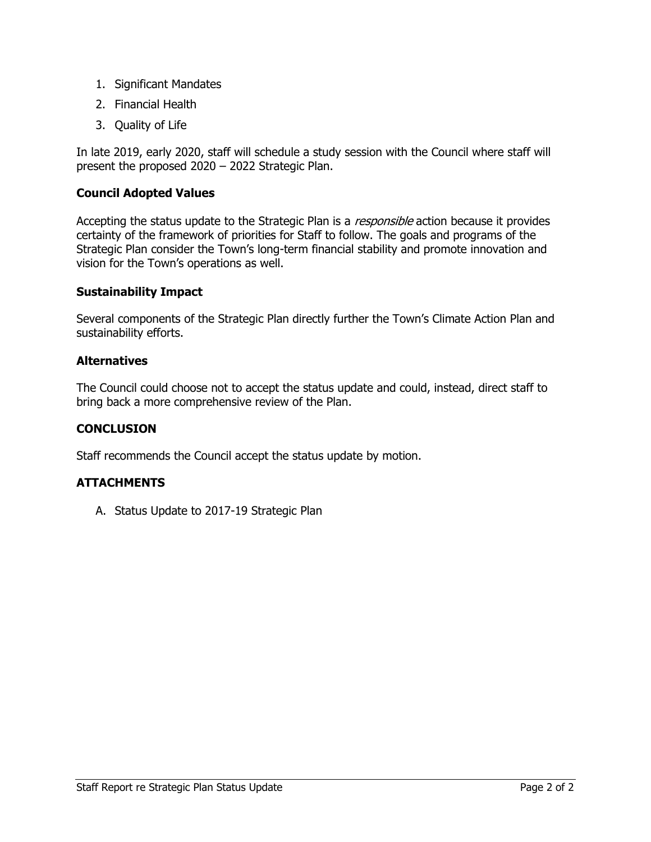- 1. Significant Mandates
- 2. Financial Health
- 3. Quality of Life

In late 2019, early 2020, staff will schedule a study session with the Council where staff will present the proposed 2020 – 2022 Strategic Plan.

# **Council Adopted Values**

Accepting the status update to the Strategic Plan is a *responsible* action because it provides certainty of the framework of priorities for Staff to follow. The goals and programs of the Strategic Plan consider the Town's long-term financial stability and promote innovation and vision for the Town's operations as well.

# **Sustainability Impact**

Several components of the Strategic Plan directly further the Town's Climate Action Plan and sustainability efforts.

# **Alternatives**

The Council could choose not to accept the status update and could, instead, direct staff to bring back a more comprehensive review of the Plan.

# **CONCLUSION**

Staff recommends the Council accept the status update by motion.

# **ATTACHMENTS**

A. Status Update to 2017-19 Strategic Plan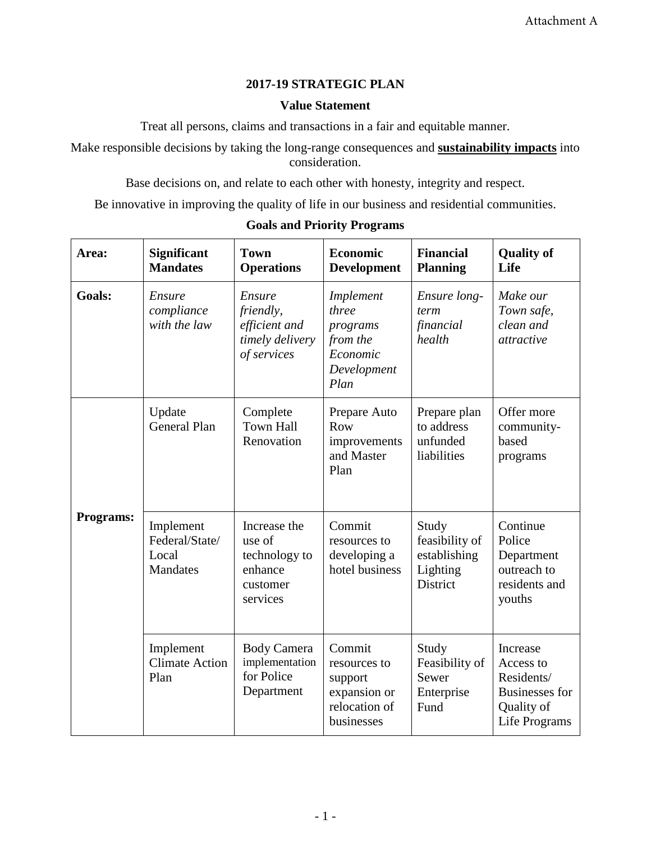$\overline{\phantom{a}}$ 

 $\overline{ }$ 

# **2017-19 STRATEGIC PLAN**

## **Value Statement**

Treat all persons, claims and transactions in a fair and equitable manner.

Make responsible decisions by taking the long-range consequences and **sustainability impacts** into consideration.

Base decisions on, and relate to each other with honesty, integrity and respect.

Be innovative in improving the quality of life in our business and residential communities.

| Area:            | <b>Significant</b><br><b>Mandates</b>            | <b>Town</b><br><b>Operations</b>                                           | <b>Economic</b><br><b>Development</b>                                            | <b>Financial</b><br><b>Planning</b>                                    | <b>Quality of</b><br>Life                                                                   |
|------------------|--------------------------------------------------|----------------------------------------------------------------------------|----------------------------------------------------------------------------------|------------------------------------------------------------------------|---------------------------------------------------------------------------------------------|
| Goals:           | Ensure<br>compliance<br>with the law             | Ensure<br>friendly,<br>efficient and<br>timely delivery<br>of services     | Implement<br>three<br>programs<br>from the<br>Economic<br>Development<br>Plan    | Ensure long-<br>term<br>financial<br>health                            | Make our<br>Town safe,<br>clean and<br>attractive                                           |
|                  | Update<br><b>General Plan</b>                    | Complete<br><b>Town Hall</b><br>Renovation                                 | Prepare Auto<br>Row<br>improvements<br>and Master<br>Plan                        | Prepare plan<br>to address<br>unfunded<br>liabilities                  | Offer more<br>community-<br>based<br>programs                                               |
| <b>Programs:</b> | Implement<br>Federal/State/<br>Local<br>Mandates | Increase the<br>use of<br>technology to<br>enhance<br>customer<br>services | Commit<br>resources to<br>developing a<br>hotel business                         | Study<br>feasibility of<br>establishing<br>Lighting<br><b>District</b> | Continue<br>Police<br>Department<br>outreach to<br>residents and<br>youths                  |
|                  | Implement<br><b>Climate Action</b><br>Plan       | <b>Body Camera</b><br>implementation<br>for Police<br>Department           | Commit<br>resources to<br>support<br>expansion or<br>relocation of<br>businesses | Study<br>Feasibility of<br>Sewer<br>Enterprise<br>Fund                 | Increase<br>Access to<br>Residents/<br><b>Businesses</b> for<br>Quality of<br>Life Programs |

## **Goals and Priority Programs**

 $\overline{\phantom{a}}$ 

 $\blacksquare$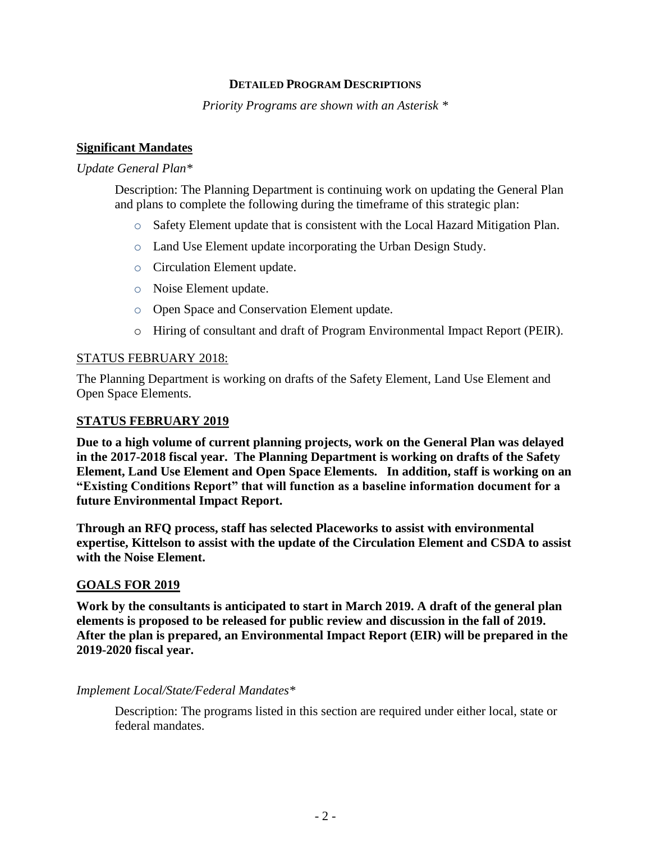#### **DETAILED PROGRAM DESCRIPTIONS**

*Priority Programs are shown with an Asterisk \**

#### **Significant Mandates**

#### *Update General Plan\**

Description: The Planning Department is continuing work on updating the General Plan and plans to complete the following during the timeframe of this strategic plan:

- o Safety Element update that is consistent with the Local Hazard Mitigation Plan.
- o Land Use Element update incorporating the Urban Design Study.
- o Circulation Element update.
- o Noise Element update.
- o Open Space and Conservation Element update.
- o Hiring of consultant and draft of Program Environmental Impact Report (PEIR).

#### STATUS FEBRUARY 2018:

The Planning Department is working on drafts of the Safety Element, Land Use Element and Open Space Elements.

#### **STATUS FEBRUARY 2019**

**Due to a high volume of current planning projects, work on the General Plan was delayed in the 2017-2018 fiscal year. The Planning Department is working on drafts of the Safety Element, Land Use Element and Open Space Elements. In addition, staff is working on an "Existing Conditions Report" that will function as a baseline information document for a future Environmental Impact Report.** 

**Through an RFQ process, staff has selected Placeworks to assist with environmental expertise, Kittelson to assist with the update of the Circulation Element and CSDA to assist with the Noise Element.** 

#### **GOALS FOR 2019**

**Work by the consultants is anticipated to start in March 2019. A draft of the general plan elements is proposed to be released for public review and discussion in the fall of 2019. After the plan is prepared, an Environmental Impact Report (EIR) will be prepared in the 2019-2020 fiscal year.**

#### *Implement Local/State/Federal Mandates\**

Description: The programs listed in this section are required under either local, state or federal mandates.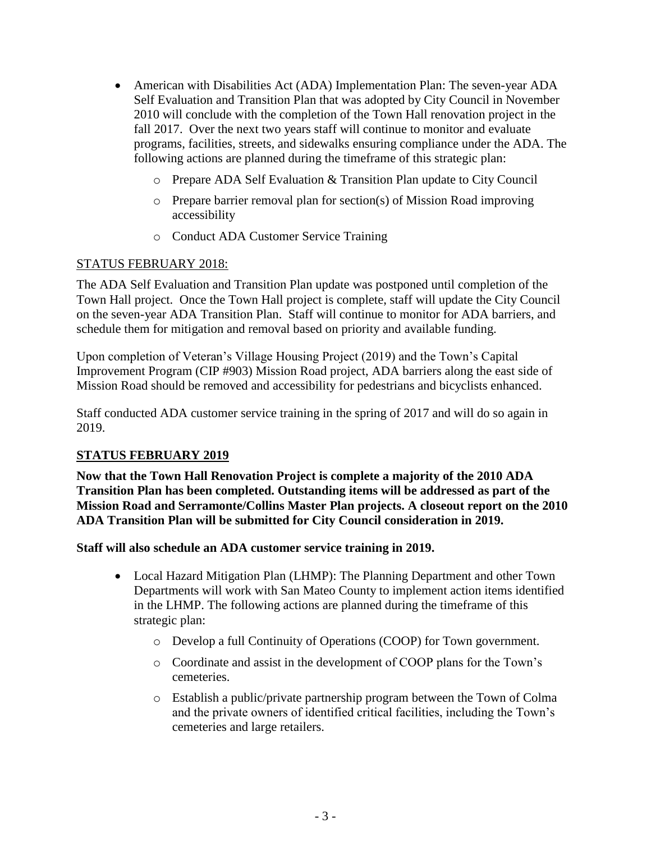- American with Disabilities Act (ADA) Implementation Plan: The seven-year ADA Self Evaluation and Transition Plan that was adopted by City Council in November 2010 will conclude with the completion of the Town Hall renovation project in the fall 2017. Over the next two years staff will continue to monitor and evaluate programs, facilities, streets, and sidewalks ensuring compliance under the ADA. The following actions are planned during the timeframe of this strategic plan:
	- o Prepare ADA Self Evaluation & Transition Plan update to City Council
	- o Prepare barrier removal plan for section(s) of Mission Road improving accessibility
	- o Conduct ADA Customer Service Training

# STATUS FEBRUARY 2018:

The ADA Self Evaluation and Transition Plan update was postponed until completion of the Town Hall project. Once the Town Hall project is complete, staff will update the City Council on the seven-year ADA Transition Plan. Staff will continue to monitor for ADA barriers, and schedule them for mitigation and removal based on priority and available funding.

Upon completion of Veteran's Village Housing Project (2019) and the Town's Capital Improvement Program (CIP #903) Mission Road project, ADA barriers along the east side of Mission Road should be removed and accessibility for pedestrians and bicyclists enhanced.

Staff conducted ADA customer service training in the spring of 2017 and will do so again in 2019.

# **STATUS FEBRUARY 2019**

**Now that the Town Hall Renovation Project is complete a majority of the 2010 ADA Transition Plan has been completed. Outstanding items will be addressed as part of the Mission Road and Serramonte/Collins Master Plan projects. A closeout report on the 2010 ADA Transition Plan will be submitted for City Council consideration in 2019.**

**Staff will also schedule an ADA customer service training in 2019.**

- Local Hazard Mitigation Plan (LHMP): The Planning Department and other Town Departments will work with San Mateo County to implement action items identified in the LHMP. The following actions are planned during the timeframe of this strategic plan:
	- o Develop a full Continuity of Operations (COOP) for Town government.
	- o Coordinate and assist in the development of COOP plans for the Town's cemeteries.
	- o Establish a public/private partnership program between the Town of Colma and the private owners of identified critical facilities, including the Town's cemeteries and large retailers.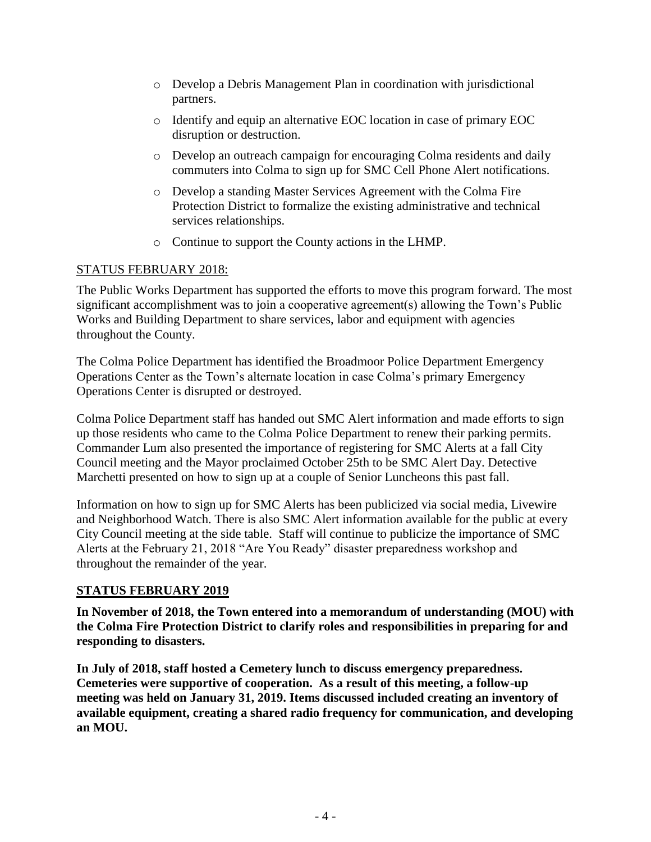- o Develop a Debris Management Plan in coordination with jurisdictional partners.
- o Identify and equip an alternative EOC location in case of primary EOC disruption or destruction.
- o Develop an outreach campaign for encouraging Colma residents and daily commuters into Colma to sign up for SMC Cell Phone Alert notifications.
- o Develop a standing Master Services Agreement with the Colma Fire Protection District to formalize the existing administrative and technical services relationships.
- o Continue to support the County actions in the LHMP.

# STATUS FEBRUARY 2018:

The Public Works Department has supported the efforts to move this program forward. The most significant accomplishment was to join a cooperative agreement(s) allowing the Town's Public Works and Building Department to share services, labor and equipment with agencies throughout the County.

The Colma Police Department has identified the Broadmoor Police Department Emergency Operations Center as the Town's alternate location in case Colma's primary Emergency Operations Center is disrupted or destroyed.

Colma Police Department staff has handed out SMC Alert information and made efforts to sign up those residents who came to the Colma Police Department to renew their parking permits. Commander Lum also presented the importance of registering for SMC Alerts at a fall City Council meeting and the Mayor proclaimed October 25th to be SMC Alert Day. Detective Marchetti presented on how to sign up at a couple of Senior Luncheons this past fall.

Information on how to sign up for SMC Alerts has been publicized via social media, Livewire and Neighborhood Watch. There is also SMC Alert information available for the public at every City Council meeting at the side table. Staff will continue to publicize the importance of SMC Alerts at the February 21, 2018 "Are You Ready" disaster preparedness workshop and throughout the remainder of the year.

# **STATUS FEBRUARY 2019**

**In November of 2018, the Town entered into a memorandum of understanding (MOU) with the Colma Fire Protection District to clarify roles and responsibilities in preparing for and responding to disasters.** 

**In July of 2018, staff hosted a Cemetery lunch to discuss emergency preparedness. Cemeteries were supportive of cooperation. As a result of this meeting, a follow-up meeting was held on January 31, 2019. Items discussed included creating an inventory of available equipment, creating a shared radio frequency for communication, and developing an MOU.**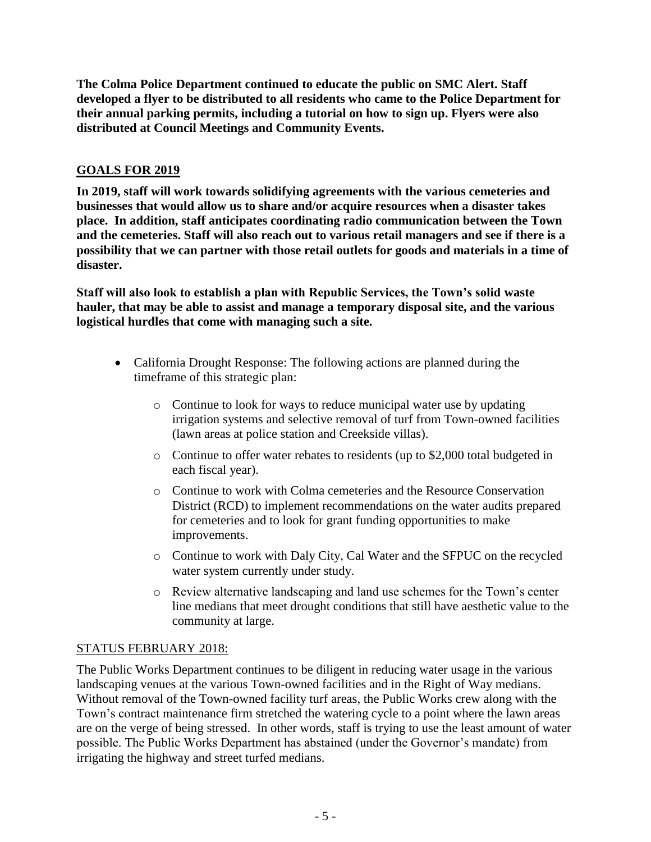**The Colma Police Department continued to educate the public on SMC Alert. Staff developed a flyer to be distributed to all residents who came to the Police Department for their annual parking permits, including a tutorial on how to sign up. Flyers were also distributed at Council Meetings and Community Events.**

# **GOALS FOR 2019**

**In 2019, staff will work towards solidifying agreements with the various cemeteries and businesses that would allow us to share and/or acquire resources when a disaster takes place. In addition, staff anticipates coordinating radio communication between the Town and the cemeteries. Staff will also reach out to various retail managers and see if there is a possibility that we can partner with those retail outlets for goods and materials in a time of disaster.**

**Staff will also look to establish a plan with Republic Services, the Town's solid waste hauler, that may be able to assist and manage a temporary disposal site, and the various logistical hurdles that come with managing such a site.** 

- California Drought Response: The following actions are planned during the timeframe of this strategic plan:
	- o Continue to look for ways to reduce municipal water use by updating irrigation systems and selective removal of turf from Town-owned facilities (lawn areas at police station and Creekside villas).
	- o Continue to offer water rebates to residents (up to \$2,000 total budgeted in each fiscal year).
	- o Continue to work with Colma cemeteries and the Resource Conservation District (RCD) to implement recommendations on the water audits prepared for cemeteries and to look for grant funding opportunities to make improvements.
	- o Continue to work with Daly City, Cal Water and the SFPUC on the recycled water system currently under study.
	- o Review alternative landscaping and land use schemes for the Town's center line medians that meet drought conditions that still have aesthetic value to the community at large.

# STATUS FEBRUARY 2018:

The Public Works Department continues to be diligent in reducing water usage in the various landscaping venues at the various Town-owned facilities and in the Right of Way medians. Without removal of the Town-owned facility turf areas, the Public Works crew along with the Town's contract maintenance firm stretched the watering cycle to a point where the lawn areas are on the verge of being stressed. In other words, staff is trying to use the least amount of water possible. The Public Works Department has abstained (under the Governor's mandate) from irrigating the highway and street turfed medians.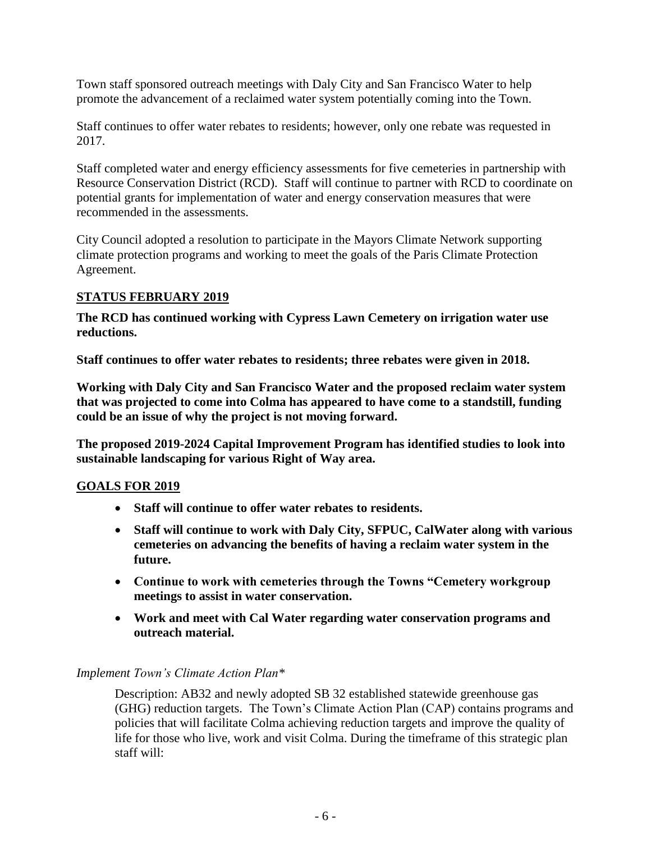Town staff sponsored outreach meetings with Daly City and San Francisco Water to help promote the advancement of a reclaimed water system potentially coming into the Town.

Staff continues to offer water rebates to residents; however, only one rebate was requested in 2017.

Staff completed water and energy efficiency assessments for five cemeteries in partnership with Resource Conservation District (RCD). Staff will continue to partner with RCD to coordinate on potential grants for implementation of water and energy conservation measures that were recommended in the assessments.

City Council adopted a resolution to participate in the Mayors Climate Network supporting climate protection programs and working to meet the goals of the Paris Climate Protection Agreement.

## **STATUS FEBRUARY 2019**

**The RCD has continued working with Cypress Lawn Cemetery on irrigation water use reductions.**

**Staff continues to offer water rebates to residents; three rebates were given in 2018.**

**Working with Daly City and San Francisco Water and the proposed reclaim water system that was projected to come into Colma has appeared to have come to a standstill, funding could be an issue of why the project is not moving forward.**

**The proposed 2019-2024 Capital Improvement Program has identified studies to look into sustainable landscaping for various Right of Way area.**

#### **GOALS FOR 2019**

- **Staff will continue to offer water rebates to residents.**
- **Staff will continue to work with Daly City, SFPUC, CalWater along with various cemeteries on advancing the benefits of having a reclaim water system in the future.**
- **Continue to work with cemeteries through the Towns "Cemetery workgroup meetings to assist in water conservation.**
- **Work and meet with Cal Water regarding water conservation programs and outreach material.**

#### *Implement Town's Climate Action Plan\**

Description: AB32 and newly adopted SB 32 established statewide greenhouse gas (GHG) reduction targets. The Town's Climate Action Plan (CAP) contains programs and policies that will facilitate Colma achieving reduction targets and improve the quality of life for those who live, work and visit Colma. During the timeframe of this strategic plan staff will: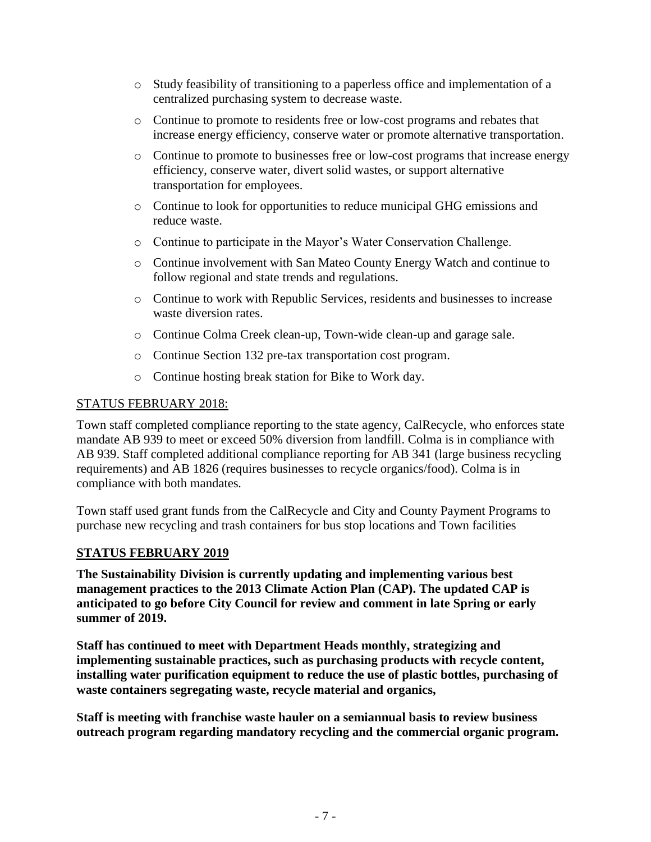- o Study feasibility of transitioning to a paperless office and implementation of a centralized purchasing system to decrease waste.
- o Continue to promote to residents free or low-cost programs and rebates that increase energy efficiency, conserve water or promote alternative transportation.
- o Continue to promote to businesses free or low-cost programs that increase energy efficiency, conserve water, divert solid wastes, or support alternative transportation for employees.
- o Continue to look for opportunities to reduce municipal GHG emissions and reduce waste.
- o Continue to participate in the Mayor's Water Conservation Challenge.
- o Continue involvement with San Mateo County Energy Watch and continue to follow regional and state trends and regulations.
- o Continue to work with Republic Services, residents and businesses to increase waste diversion rates.
- o Continue Colma Creek clean-up, Town-wide clean-up and garage sale.
- o Continue Section 132 pre-tax transportation cost program.
- o Continue hosting break station for Bike to Work day.

## STATUS FEBRUARY 2018:

Town staff completed compliance reporting to the state agency, CalRecycle, who enforces state mandate AB 939 to meet or exceed 50% diversion from landfill. Colma is in compliance with AB 939. Staff completed additional compliance reporting for AB 341 (large business recycling requirements) and AB 1826 (requires businesses to recycle organics/food). Colma is in compliance with both mandates*.* 

Town staff used grant funds from the CalRecycle and City and County Payment Programs to purchase new recycling and trash containers for bus stop locations and Town facilities

# **STATUS FEBRUARY 2019**

**The Sustainability Division is currently updating and implementing various best management practices to the 2013 Climate Action Plan (CAP). The updated CAP is anticipated to go before City Council for review and comment in late Spring or early summer of 2019.**

**Staff has continued to meet with Department Heads monthly, strategizing and implementing sustainable practices, such as purchasing products with recycle content, installing water purification equipment to reduce the use of plastic bottles, purchasing of waste containers segregating waste, recycle material and organics,**

**Staff is meeting with franchise waste hauler on a semiannual basis to review business outreach program regarding mandatory recycling and the commercial organic program.**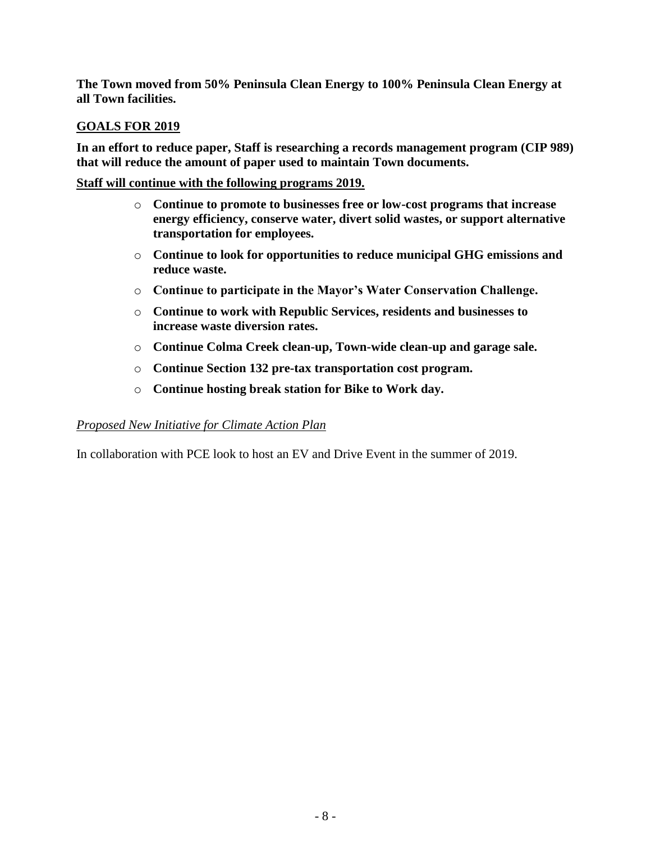**The Town moved from 50% Peninsula Clean Energy to 100% Peninsula Clean Energy at all Town facilities.**

## **GOALS FOR 2019**

**In an effort to reduce paper, Staff is researching a records management program (CIP 989) that will reduce the amount of paper used to maintain Town documents.** 

**Staff will continue with the following programs 2019.**

- o **Continue to promote to businesses free or low-cost programs that increase energy efficiency, conserve water, divert solid wastes, or support alternative transportation for employees.**
- o **Continue to look for opportunities to reduce municipal GHG emissions and reduce waste.**
- o **Continue to participate in the Mayor's Water Conservation Challenge.**
- o **Continue to work with Republic Services, residents and businesses to increase waste diversion rates.**
- o **Continue Colma Creek clean-up, Town-wide clean-up and garage sale.**
- o **Continue Section 132 pre-tax transportation cost program.**
- o **Continue hosting break station for Bike to Work day.**

#### *Proposed New Initiative for Climate Action Plan*

In collaboration with PCE look to host an EV and Drive Event in the summer of 2019.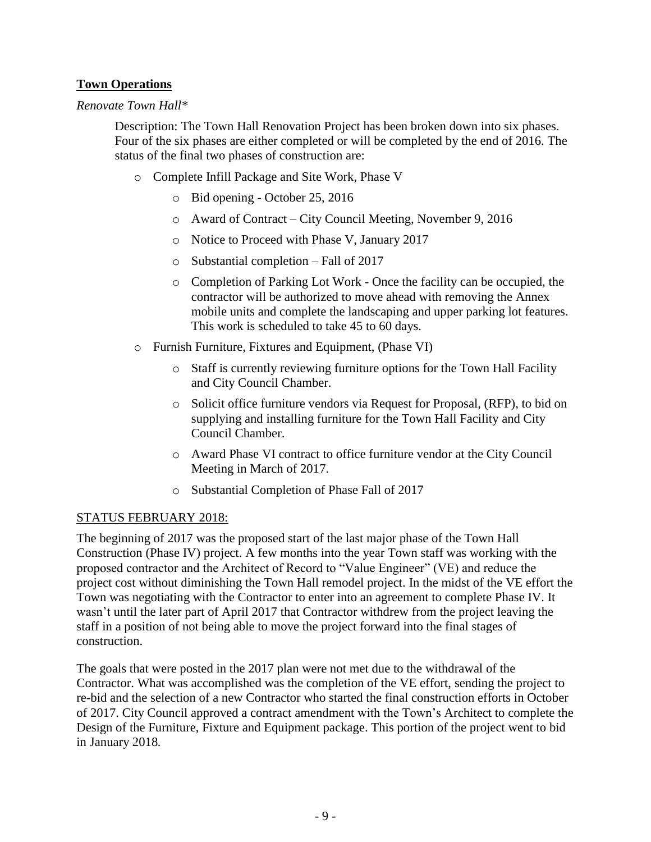# **Town Operations**

## *Renovate Town Hall\**

Description: The Town Hall Renovation Project has been broken down into six phases. Four of the six phases are either completed or will be completed by the end of 2016. The status of the final two phases of construction are:

- o Complete Infill Package and Site Work, Phase V
	- o Bid opening October 25, 2016
	- o Award of Contract City Council Meeting, November 9, 2016
	- o Notice to Proceed with Phase V, January 2017
	- o Substantial completion Fall of 2017
	- o Completion of Parking Lot Work Once the facility can be occupied, the contractor will be authorized to move ahead with removing the Annex mobile units and complete the landscaping and upper parking lot features. This work is scheduled to take 45 to 60 days.
- o Furnish Furniture, Fixtures and Equipment, (Phase VI)
	- o Staff is currently reviewing furniture options for the Town Hall Facility and City Council Chamber.
	- o Solicit office furniture vendors via Request for Proposal, (RFP), to bid on supplying and installing furniture for the Town Hall Facility and City Council Chamber.
	- o Award Phase VI contract to office furniture vendor at the City Council Meeting in March of 2017.
	- o Substantial Completion of Phase Fall of 2017

#### STATUS FEBRUARY 2018:

The beginning of 2017 was the proposed start of the last major phase of the Town Hall Construction (Phase IV) project. A few months into the year Town staff was working with the proposed contractor and the Architect of Record to "Value Engineer" (VE) and reduce the project cost without diminishing the Town Hall remodel project. In the midst of the VE effort the Town was negotiating with the Contractor to enter into an agreement to complete Phase IV. It wasn't until the later part of April 2017 that Contractor withdrew from the project leaving the staff in a position of not being able to move the project forward into the final stages of construction.

The goals that were posted in the 2017 plan were not met due to the withdrawal of the Contractor. What was accomplished was the completion of the VE effort, sending the project to re-bid and the selection of a new Contractor who started the final construction efforts in October of 2017. City Council approved a contract amendment with the Town's Architect to complete the Design of the Furniture, Fixture and Equipment package. This portion of the project went to bid in January 2018*.*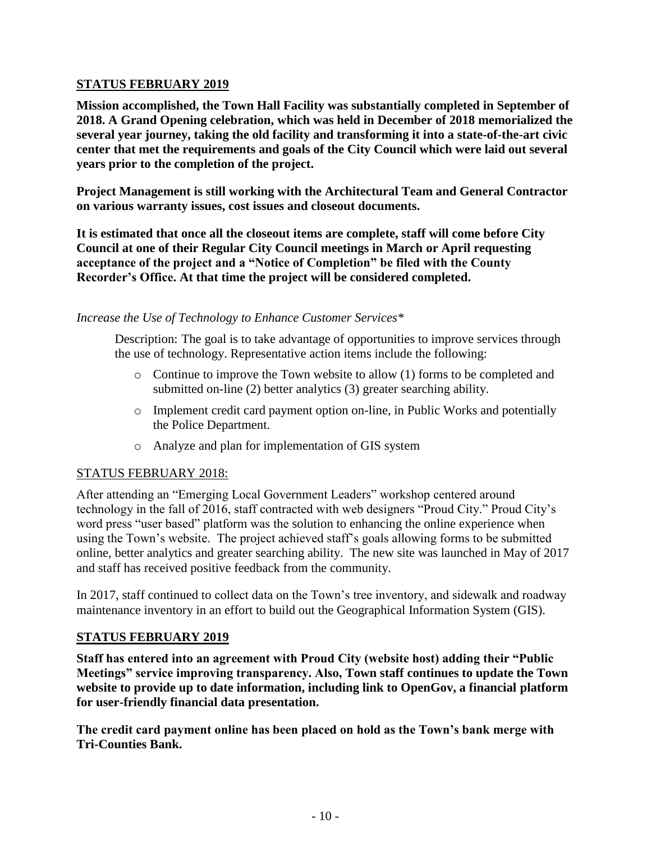# **STATUS FEBRUARY 2019**

**Mission accomplished, the Town Hall Facility was substantially completed in September of 2018. A Grand Opening celebration, which was held in December of 2018 memorialized the several year journey, taking the old facility and transforming it into a state-of-the-art civic center that met the requirements and goals of the City Council which were laid out several years prior to the completion of the project.** 

**Project Management is still working with the Architectural Team and General Contractor on various warranty issues, cost issues and closeout documents.** 

**It is estimated that once all the closeout items are complete, staff will come before City Council at one of their Regular City Council meetings in March or April requesting acceptance of the project and a "Notice of Completion" be filed with the County Recorder's Office. At that time the project will be considered completed.**

# *Increase the Use of Technology to Enhance Customer Services\**

Description: The goal is to take advantage of opportunities to improve services through the use of technology. Representative action items include the following:

- o Continue to improve the Town website to allow (1) forms to be completed and submitted on-line (2) better analytics (3) greater searching ability.
- o Implement credit card payment option on-line, in Public Works and potentially the Police Department.
- o Analyze and plan for implementation of GIS system

# STATUS FEBRUARY 2018:

After attending an "Emerging Local Government Leaders" workshop centered around technology in the fall of 2016, staff contracted with web designers "Proud City." Proud City's word press "user based" platform was the solution to enhancing the online experience when using the Town's website. The project achieved staff's goals allowing forms to be submitted online, better analytics and greater searching ability. The new site was launched in May of 2017 and staff has received positive feedback from the community.

In 2017, staff continued to collect data on the Town's tree inventory, and sidewalk and roadway maintenance inventory in an effort to build out the Geographical Information System (GIS).

# **STATUS FEBRUARY 2019**

**Staff has entered into an agreement with Proud City (website host) adding their "Public Meetings" service improving transparency. Also, Town staff continues to update the Town website to provide up to date information, including link to OpenGov, a financial platform for user-friendly financial data presentation.** 

**The credit card payment online has been placed on hold as the Town's bank merge with Tri-Counties Bank.**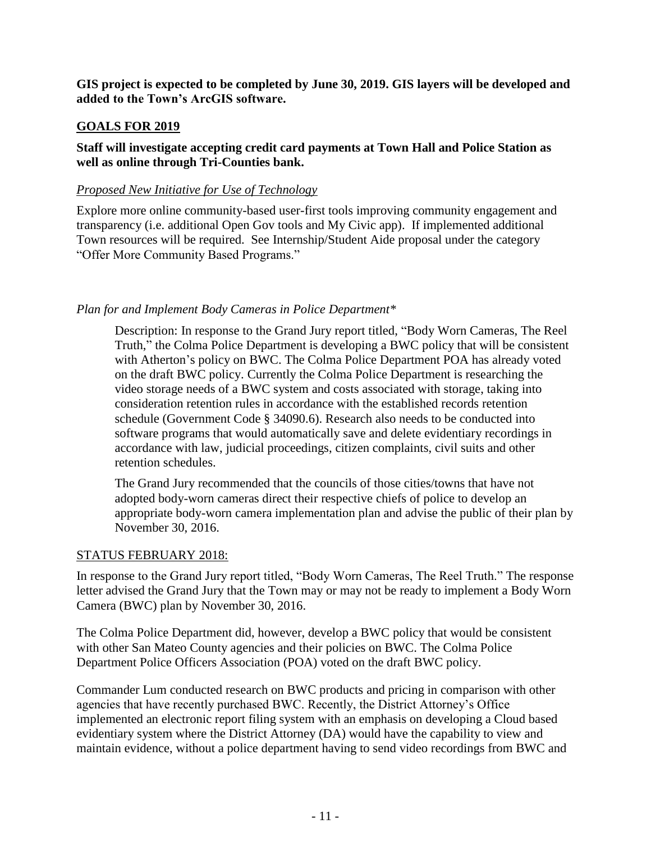**GIS project is expected to be completed by June 30, 2019. GIS layers will be developed and added to the Town's ArcGIS software.**

## **GOALS FOR 2019**

# **Staff will investigate accepting credit card payments at Town Hall and Police Station as well as online through Tri-Counties bank.**

## *Proposed New Initiative for Use of Technology*

Explore more online community-based user-first tools improving community engagement and transparency (i.e. additional Open Gov tools and My Civic app). If implemented additional Town resources will be required. See Internship/Student Aide proposal under the category "Offer More Community Based Programs."

## *Plan for and Implement Body Cameras in Police Department\**

Description: In response to the Grand Jury report titled, "Body Worn Cameras, The Reel Truth," the Colma Police Department is developing a BWC policy that will be consistent with Atherton's policy on BWC. The Colma Police Department POA has already voted on the draft BWC policy. Currently the Colma Police Department is researching the video storage needs of a BWC system and costs associated with storage, taking into consideration retention rules in accordance with the established records retention schedule (Government Code § 34090.6). Research also needs to be conducted into software programs that would automatically save and delete evidentiary recordings in accordance with law, judicial proceedings, citizen complaints, civil suits and other retention schedules.

The Grand Jury recommended that the councils of those cities/towns that have not adopted body-worn cameras direct their respective chiefs of police to develop an appropriate body-worn camera implementation plan and advise the public of their plan by November 30, 2016.

#### STATUS FEBRUARY 2018:

In response to the Grand Jury report titled, "Body Worn Cameras, The Reel Truth." The response letter advised the Grand Jury that the Town may or may not be ready to implement a Body Worn Camera (BWC) plan by November 30, 2016.

The Colma Police Department did, however, develop a BWC policy that would be consistent with other San Mateo County agencies and their policies on BWC. The Colma Police Department Police Officers Association (POA) voted on the draft BWC policy.

Commander Lum conducted research on BWC products and pricing in comparison with other agencies that have recently purchased BWC. Recently, the District Attorney's Office implemented an electronic report filing system with an emphasis on developing a Cloud based evidentiary system where the District Attorney (DA) would have the capability to view and maintain evidence, without a police department having to send video recordings from BWC and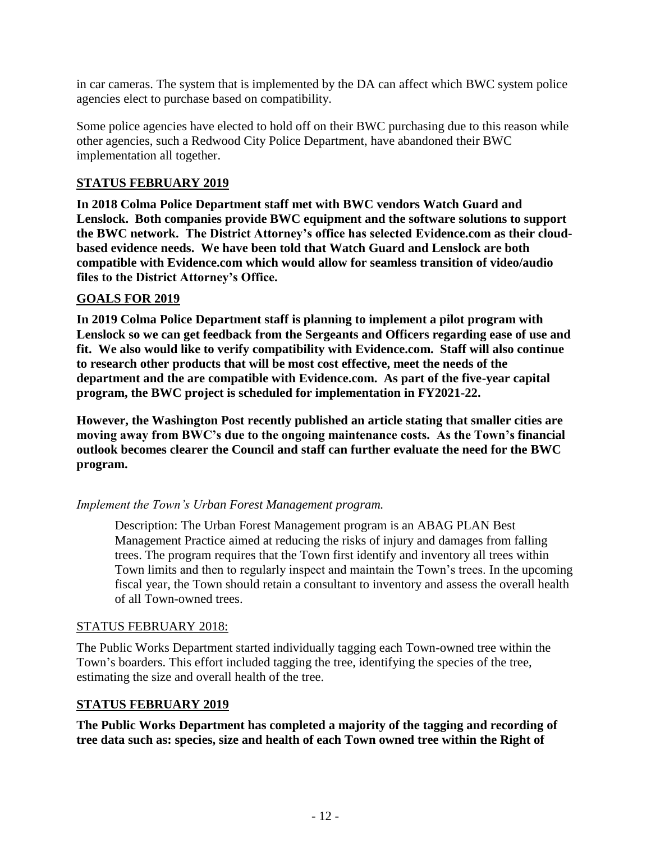in car cameras. The system that is implemented by the DA can affect which BWC system police agencies elect to purchase based on compatibility.

Some police agencies have elected to hold off on their BWC purchasing due to this reason while other agencies, such a Redwood City Police Department, have abandoned their BWC implementation all together.

# **STATUS FEBRUARY 2019**

**In 2018 Colma Police Department staff met with BWC vendors Watch Guard and Lenslock. Both companies provide BWC equipment and the software solutions to support the BWC network. The District Attorney's office has selected Evidence.com as their cloudbased evidence needs. We have been told that Watch Guard and Lenslock are both compatible with Evidence.com which would allow for seamless transition of video/audio files to the District Attorney's Office.** 

# **GOALS FOR 2019**

**In 2019 Colma Police Department staff is planning to implement a pilot program with Lenslock so we can get feedback from the Sergeants and Officers regarding ease of use and fit. We also would like to verify compatibility with Evidence.com. Staff will also continue to research other products that will be most cost effective, meet the needs of the department and the are compatible with Evidence.com. As part of the five-year capital program, the BWC project is scheduled for implementation in FY2021-22.** 

**However, the Washington Post recently published an article stating that smaller cities are moving away from BWC's due to the ongoing maintenance costs. As the Town's financial outlook becomes clearer the Council and staff can further evaluate the need for the BWC program.**

# *Implement the Town's Urban Forest Management program.*

Description: The Urban Forest Management program is an ABAG PLAN Best Management Practice aimed at reducing the risks of injury and damages from falling trees. The program requires that the Town first identify and inventory all trees within Town limits and then to regularly inspect and maintain the Town's trees. In the upcoming fiscal year, the Town should retain a consultant to inventory and assess the overall health of all Town-owned trees.

# STATUS FEBRUARY 2018:

The Public Works Department started individually tagging each Town-owned tree within the Town's boarders. This effort included tagging the tree, identifying the species of the tree, estimating the size and overall health of the tree.

# **STATUS FEBRUARY 2019**

**The Public Works Department has completed a majority of the tagging and recording of tree data such as: species, size and health of each Town owned tree within the Right of**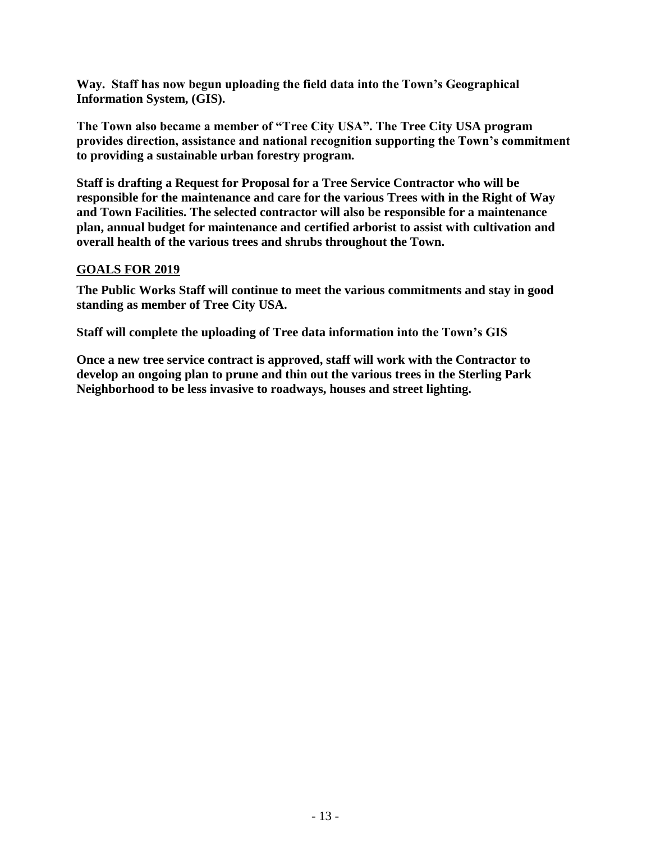**Way. Staff has now begun uploading the field data into the Town's Geographical Information System, (GIS).** 

**The Town also became a member of "Tree City USA". The Tree City USA program provides direction, assistance and national recognition supporting the Town's commitment to providing a sustainable urban forestry program.** 

**Staff is drafting a Request for Proposal for a Tree Service Contractor who will be responsible for the maintenance and care for the various Trees with in the Right of Way and Town Facilities. The selected contractor will also be responsible for a maintenance plan, annual budget for maintenance and certified arborist to assist with cultivation and overall health of the various trees and shrubs throughout the Town.**

## **GOALS FOR 2019**

**The Public Works Staff will continue to meet the various commitments and stay in good standing as member of Tree City USA.**

**Staff will complete the uploading of Tree data information into the Town's GIS** 

**Once a new tree service contract is approved, staff will work with the Contractor to develop an ongoing plan to prune and thin out the various trees in the Sterling Park Neighborhood to be less invasive to roadways, houses and street lighting.**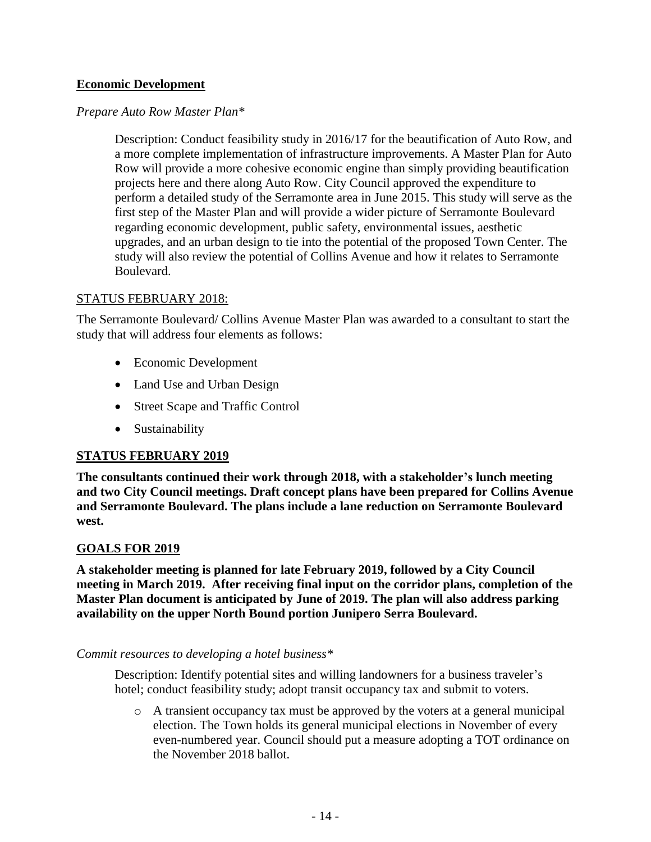# **Economic Development**

#### *Prepare Auto Row Master Plan\**

Description: Conduct feasibility study in 2016/17 for the beautification of Auto Row, and a more complete implementation of infrastructure improvements. A Master Plan for Auto Row will provide a more cohesive economic engine than simply providing beautification projects here and there along Auto Row. City Council approved the expenditure to perform a detailed study of the Serramonte area in June 2015. This study will serve as the first step of the Master Plan and will provide a wider picture of Serramonte Boulevard regarding economic development, public safety, environmental issues, aesthetic upgrades, and an urban design to tie into the potential of the proposed Town Center. The study will also review the potential of Collins Avenue and how it relates to Serramonte Boulevard.

#### STATUS FEBRUARY 2018:

The Serramonte Boulevard/ Collins Avenue Master Plan was awarded to a consultant to start the study that will address four elements as follows:

- Economic Development
- Land Use and Urban Design
- Street Scape and Traffic Control
- Sustainability

#### **STATUS FEBRUARY 2019**

**The consultants continued their work through 2018, with a stakeholder's lunch meeting and two City Council meetings. Draft concept plans have been prepared for Collins Avenue and Serramonte Boulevard. The plans include a lane reduction on Serramonte Boulevard west.** 

#### **GOALS FOR 2019**

**A stakeholder meeting is planned for late February 2019, followed by a City Council meeting in March 2019. After receiving final input on the corridor plans, completion of the Master Plan document is anticipated by June of 2019. The plan will also address parking availability on the upper North Bound portion Junipero Serra Boulevard.**

#### *Commit resources to developing a hotel business\**

Description: Identify potential sites and willing landowners for a business traveler's hotel; conduct feasibility study; adopt transit occupancy tax and submit to voters.

 $\circ$  A transient occupancy tax must be approved by the voters at a general municipal election. The Town holds its general municipal elections in November of every even-numbered year. Council should put a measure adopting a TOT ordinance on the November 2018 ballot.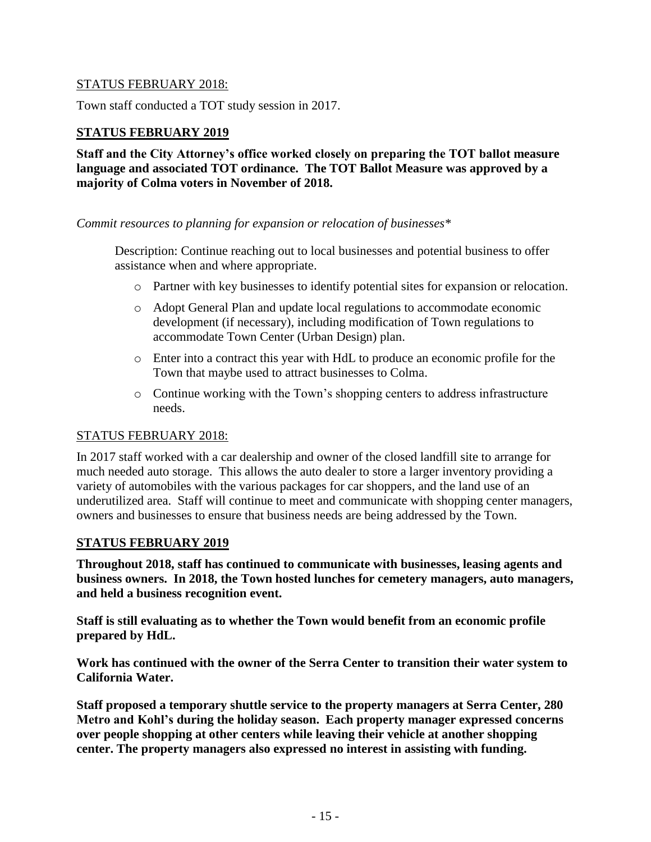# STATUS FEBRUARY 2018:

Town staff conducted a TOT study session in 2017.

## **STATUS FEBRUARY 2019**

## **Staff and the City Attorney's office worked closely on preparing the TOT ballot measure language and associated TOT ordinance. The TOT Ballot Measure was approved by a majority of Colma voters in November of 2018.**

#### *Commit resources to planning for expansion or relocation of businesses\**

Description: Continue reaching out to local businesses and potential business to offer assistance when and where appropriate.

- o Partner with key businesses to identify potential sites for expansion or relocation.
- o Adopt General Plan and update local regulations to accommodate economic development (if necessary), including modification of Town regulations to accommodate Town Center (Urban Design) plan.
- o Enter into a contract this year with HdL to produce an economic profile for the Town that maybe used to attract businesses to Colma.
- o Continue working with the Town's shopping centers to address infrastructure needs.

#### STATUS FEBRUARY 2018:

In 2017 staff worked with a car dealership and owner of the closed landfill site to arrange for much needed auto storage. This allows the auto dealer to store a larger inventory providing a variety of automobiles with the various packages for car shoppers, and the land use of an underutilized area. Staff will continue to meet and communicate with shopping center managers, owners and businesses to ensure that business needs are being addressed by the Town.

#### **STATUS FEBRUARY 2019**

**Throughout 2018, staff has continued to communicate with businesses, leasing agents and business owners. In 2018, the Town hosted lunches for cemetery managers, auto managers, and held a business recognition event.** 

**Staff is still evaluating as to whether the Town would benefit from an economic profile prepared by HdL.**

**Work has continued with the owner of the Serra Center to transition their water system to California Water.** 

**Staff proposed a temporary shuttle service to the property managers at Serra Center, 280 Metro and Kohl's during the holiday season. Each property manager expressed concerns over people shopping at other centers while leaving their vehicle at another shopping center. The property managers also expressed no interest in assisting with funding.**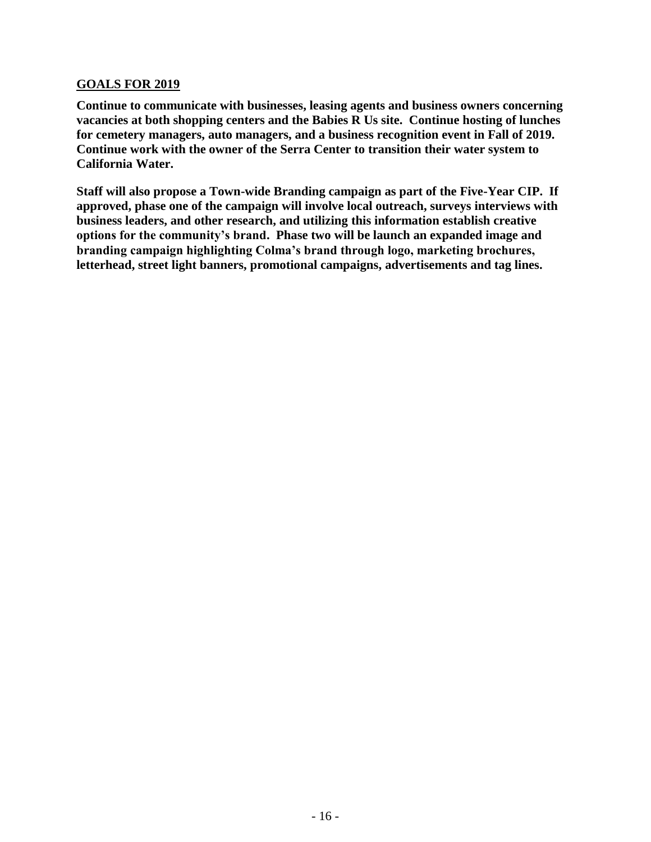#### **GOALS FOR 2019**

**Continue to communicate with businesses, leasing agents and business owners concerning vacancies at both shopping centers and the Babies R Us site. Continue hosting of lunches for cemetery managers, auto managers, and a business recognition event in Fall of 2019. Continue work with the owner of the Serra Center to transition their water system to California Water.** 

**Staff will also propose a Town-wide Branding campaign as part of the Five-Year CIP. If approved, phase one of the campaign will involve local outreach, surveys interviews with business leaders, and other research, and utilizing this information establish creative options for the community's brand. Phase two will be launch an expanded image and branding campaign highlighting Colma's brand through logo, marketing brochures, letterhead, street light banners, promotional campaigns, advertisements and tag lines.**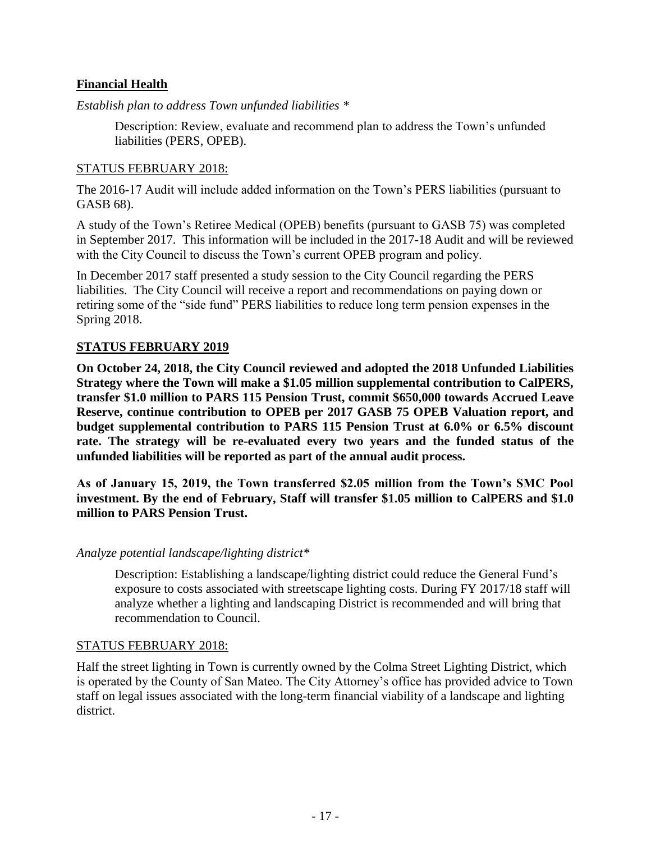# **Financial Health**

*Establish plan to address Town unfunded liabilities \**

Description: Review, evaluate and recommend plan to address the Town's unfunded liabilities (PERS, OPEB).

#### STATUS FEBRUARY 2018:

The 2016-17 Audit will include added information on the Town's PERS liabilities (pursuant to GASB 68).

A study of the Town's Retiree Medical (OPEB) benefits (pursuant to GASB 75) was completed in September 2017. This information will be included in the 2017-18 Audit and will be reviewed with the City Council to discuss the Town's current OPEB program and policy.

In December 2017 staff presented a study session to the City Council regarding the PERS liabilities. The City Council will receive a report and recommendations on paying down or retiring some of the "side fund" PERS liabilities to reduce long term pension expenses in the Spring 2018.

## **STATUS FEBRUARY 2019**

**On October 24, 2018, the City Council reviewed and adopted the 2018 Unfunded Liabilities Strategy where the Town will make a \$1.05 million supplemental contribution to CalPERS, transfer \$1.0 million to PARS 115 Pension Trust, commit \$650,000 towards Accrued Leave Reserve, continue contribution to OPEB per 2017 GASB 75 OPEB Valuation report, and budget supplemental contribution to PARS 115 Pension Trust at 6.0% or 6.5% discount rate. The strategy will be re-evaluated every two years and the funded status of the unfunded liabilities will be reported as part of the annual audit process.** 

**As of January 15, 2019, the Town transferred \$2.05 million from the Town's SMC Pool investment. By the end of February, Staff will transfer \$1.05 million to CalPERS and \$1.0 million to PARS Pension Trust.** 

#### *Analyze potential landscape/lighting district\**

Description: Establishing a landscape/lighting district could reduce the General Fund's exposure to costs associated with streetscape lighting costs. During FY 2017/18 staff will analyze whether a lighting and landscaping District is recommended and will bring that recommendation to Council.

#### STATUS FEBRUARY 2018:

Half the street lighting in Town is currently owned by the Colma Street Lighting District, which is operated by the County of San Mateo. The City Attorney's office has provided advice to Town staff on legal issues associated with the long-term financial viability of a landscape and lighting district.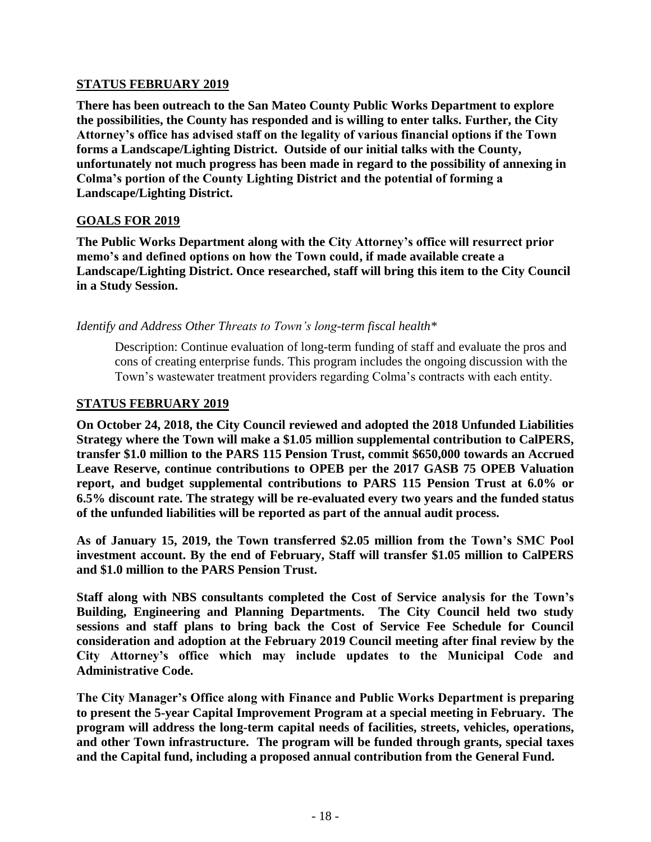## **STATUS FEBRUARY 2019**

**There has been outreach to the San Mateo County Public Works Department to explore the possibilities, the County has responded and is willing to enter talks. Further, the City Attorney's office has advised staff on the legality of various financial options if the Town forms a Landscape/Lighting District. Outside of our initial talks with the County, unfortunately not much progress has been made in regard to the possibility of annexing in Colma's portion of the County Lighting District and the potential of forming a Landscape/Lighting District.**

## **GOALS FOR 2019**

**The Public Works Department along with the City Attorney's office will resurrect prior memo's and defined options on how the Town could, if made available create a Landscape/Lighting District. Once researched, staff will bring this item to the City Council in a Study Session.**

## *Identify and Address Other Threats to Town's long-term fiscal health\**

Description: Continue evaluation of long-term funding of staff and evaluate the pros and cons of creating enterprise funds. This program includes the ongoing discussion with the Town's wastewater treatment providers regarding Colma's contracts with each entity.

#### **STATUS FEBRUARY 2019**

**On October 24, 2018, the City Council reviewed and adopted the 2018 Unfunded Liabilities Strategy where the Town will make a \$1.05 million supplemental contribution to CalPERS, transfer \$1.0 million to the PARS 115 Pension Trust, commit \$650,000 towards an Accrued Leave Reserve, continue contributions to OPEB per the 2017 GASB 75 OPEB Valuation report, and budget supplemental contributions to PARS 115 Pension Trust at 6.0% or 6.5% discount rate. The strategy will be re-evaluated every two years and the funded status of the unfunded liabilities will be reported as part of the annual audit process.** 

**As of January 15, 2019, the Town transferred \$2.05 million from the Town's SMC Pool investment account. By the end of February, Staff will transfer \$1.05 million to CalPERS and \$1.0 million to the PARS Pension Trust.** 

**Staff along with NBS consultants completed the Cost of Service analysis for the Town's Building, Engineering and Planning Departments. The City Council held two study sessions and staff plans to bring back the Cost of Service Fee Schedule for Council consideration and adoption at the February 2019 Council meeting after final review by the City Attorney's office which may include updates to the Municipal Code and Administrative Code.**

**The City Manager's Office along with Finance and Public Works Department is preparing to present the 5-year Capital Improvement Program at a special meeting in February. The program will address the long-term capital needs of facilities, streets, vehicles, operations, and other Town infrastructure. The program will be funded through grants, special taxes and the Capital fund, including a proposed annual contribution from the General Fund.**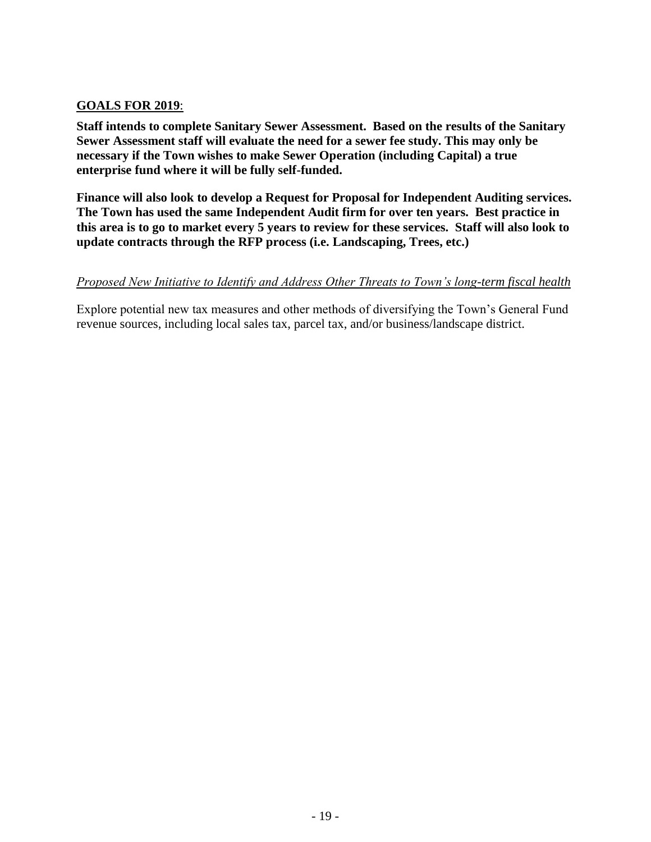## **GOALS FOR 2019**:

**Staff intends to complete Sanitary Sewer Assessment. Based on the results of the Sanitary Sewer Assessment staff will evaluate the need for a sewer fee study. This may only be necessary if the Town wishes to make Sewer Operation (including Capital) a true enterprise fund where it will be fully self-funded.**

**Finance will also look to develop a Request for Proposal for Independent Auditing services. The Town has used the same Independent Audit firm for over ten years. Best practice in this area is to go to market every 5 years to review for these services. Staff will also look to update contracts through the RFP process (i.e. Landscaping, Trees, etc.)**

#### *Proposed New Initiative to Identify and Address Other Threats to Town's long-term fiscal health*

Explore potential new tax measures and other methods of diversifying the Town's General Fund revenue sources, including local sales tax, parcel tax, and/or business/landscape district.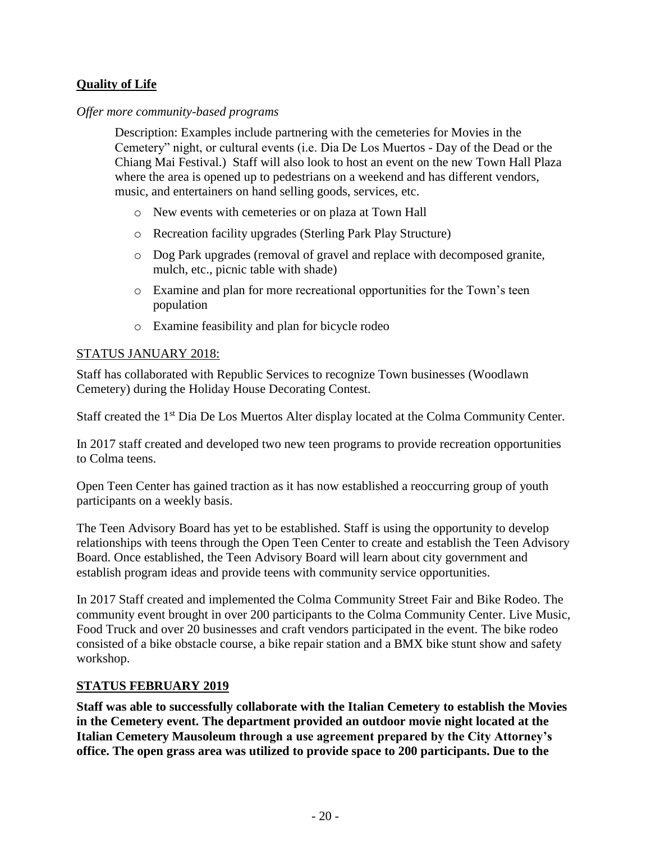# **Quality of Life**

#### *Offer more community-based programs*

Description: Examples include partnering with the cemeteries for Movies in the Cemetery" night, or cultural events (i.e. Dia De Los Muertos - Day of the Dead or the Chiang Mai Festival.) Staff will also look to host an event on the new Town Hall Plaza where the area is opened up to pedestrians on a weekend and has different vendors, music, and entertainers on hand selling goods, services, etc.

- o New events with cemeteries or on plaza at Town Hall
- o Recreation facility upgrades (Sterling Park Play Structure)
- o Dog Park upgrades (removal of gravel and replace with decomposed granite, mulch, etc., picnic table with shade)
- o Examine and plan for more recreational opportunities for the Town's teen population
- o Examine feasibility and plan for bicycle rodeo

## STATUS JANUARY 2018:

Staff has collaborated with Republic Services to recognize Town businesses (Woodlawn Cemetery) during the Holiday House Decorating Contest.

Staff created the  $1<sup>st</sup>$  Dia De Los Muertos Alter display located at the Colma Community Center.

In 2017 staff created and developed two new teen programs to provide recreation opportunities to Colma teens.

Open Teen Center has gained traction as it has now established a reoccurring group of youth participants on a weekly basis.

The Teen Advisory Board has yet to be established. Staff is using the opportunity to develop relationships with teens through the Open Teen Center to create and establish the Teen Advisory Board. Once established, the Teen Advisory Board will learn about city government and establish program ideas and provide teens with community service opportunities.

In 2017 Staff created and implemented the Colma Community Street Fair and Bike Rodeo. The community event brought in over 200 participants to the Colma Community Center. Live Music, Food Truck and over 20 businesses and craft vendors participated in the event. The bike rodeo consisted of a bike obstacle course, a bike repair station and a BMX bike stunt show and safety workshop.

# **STATUS FEBRUARY 2019**

**Staff was able to successfully collaborate with the Italian Cemetery to establish the Movies in the Cemetery event. The department provided an outdoor movie night located at the Italian Cemetery Mausoleum through a use agreement prepared by the City Attorney's office. The open grass area was utilized to provide space to 200 participants. Due to the**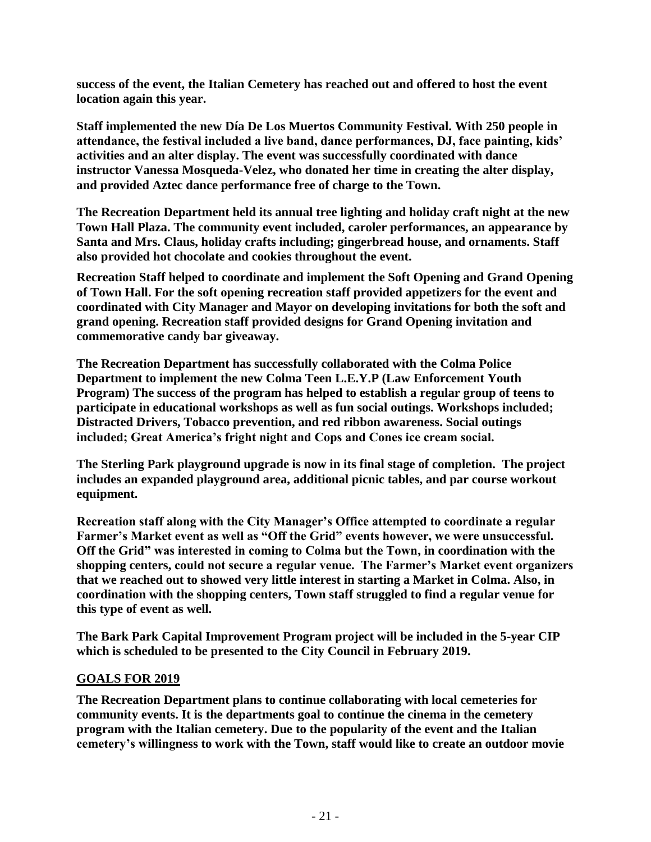**success of the event, the Italian Cemetery has reached out and offered to host the event location again this year.** 

**Staff implemented the new Día De Los Muertos Community Festival. With 250 people in attendance, the festival included a live band, dance performances, DJ, face painting, kids' activities and an alter display. The event was successfully coordinated with dance instructor Vanessa Mosqueda-Velez, who donated her time in creating the alter display, and provided Aztec dance performance free of charge to the Town.** 

**The Recreation Department held its annual tree lighting and holiday craft night at the new Town Hall Plaza. The community event included, caroler performances, an appearance by Santa and Mrs. Claus, holiday crafts including; gingerbread house, and ornaments. Staff also provided hot chocolate and cookies throughout the event.** 

**Recreation Staff helped to coordinate and implement the Soft Opening and Grand Opening of Town Hall. For the soft opening recreation staff provided appetizers for the event and coordinated with City Manager and Mayor on developing invitations for both the soft and grand opening. Recreation staff provided designs for Grand Opening invitation and commemorative candy bar giveaway.** 

**The Recreation Department has successfully collaborated with the Colma Police Department to implement the new Colma Teen L.E.Y.P (Law Enforcement Youth Program) The success of the program has helped to establish a regular group of teens to participate in educational workshops as well as fun social outings. Workshops included; Distracted Drivers, Tobacco prevention, and red ribbon awareness. Social outings included; Great America's fright night and Cops and Cones ice cream social.** 

**The Sterling Park playground upgrade is now in its final stage of completion. The project includes an expanded playground area, additional picnic tables, and par course workout equipment.** 

**Recreation staff along with the City Manager's Office attempted to coordinate a regular Farmer's Market event as well as "Off the Grid" events however, we were unsuccessful. Off the Grid" was interested in coming to Colma but the Town, in coordination with the shopping centers, could not secure a regular venue. The Farmer's Market event organizers that we reached out to showed very little interest in starting a Market in Colma. Also, in coordination with the shopping centers, Town staff struggled to find a regular venue for this type of event as well.**

**The Bark Park Capital Improvement Program project will be included in the 5-year CIP which is scheduled to be presented to the City Council in February 2019.**

#### **GOALS FOR 2019**

**The Recreation Department plans to continue collaborating with local cemeteries for community events. It is the departments goal to continue the cinema in the cemetery program with the Italian cemetery. Due to the popularity of the event and the Italian cemetery's willingness to work with the Town, staff would like to create an outdoor movie**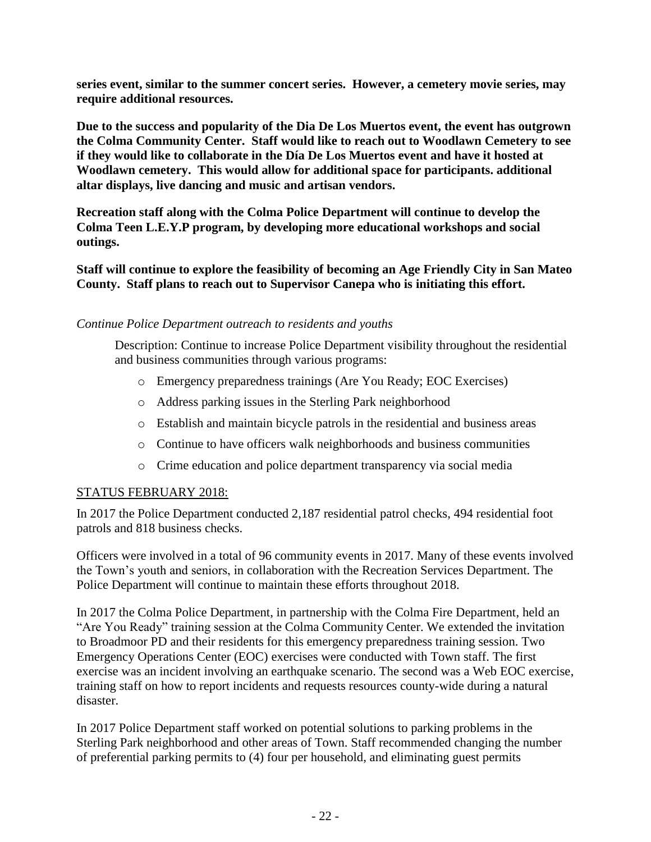**series event, similar to the summer concert series. However, a cemetery movie series, may require additional resources.**

**Due to the success and popularity of the Dia De Los Muertos event, the event has outgrown the Colma Community Center. Staff would like to reach out to Woodlawn Cemetery to see if they would like to collaborate in the Día De Los Muertos event and have it hosted at Woodlawn cemetery. This would allow for additional space for participants. additional altar displays, live dancing and music and artisan vendors.** 

**Recreation staff along with the Colma Police Department will continue to develop the Colma Teen L.E.Y.P program, by developing more educational workshops and social outings.**

**Staff will continue to explore the feasibility of becoming an Age Friendly City in San Mateo County. Staff plans to reach out to Supervisor Canepa who is initiating this effort.**

## *Continue Police Department outreach to residents and youths*

Description: Continue to increase Police Department visibility throughout the residential and business communities through various programs:

- o Emergency preparedness trainings (Are You Ready; EOC Exercises)
- o Address parking issues in the Sterling Park neighborhood
- o Establish and maintain bicycle patrols in the residential and business areas
- o Continue to have officers walk neighborhoods and business communities
- o Crime education and police department transparency via social media

#### STATUS FEBRUARY 2018:

In 2017 the Police Department conducted 2,187 residential patrol checks, 494 residential foot patrols and 818 business checks.

Officers were involved in a total of 96 community events in 2017. Many of these events involved the Town's youth and seniors, in collaboration with the Recreation Services Department. The Police Department will continue to maintain these efforts throughout 2018.

In 2017 the Colma Police Department, in partnership with the Colma Fire Department, held an "Are You Ready" training session at the Colma Community Center. We extended the invitation to Broadmoor PD and their residents for this emergency preparedness training session. Two Emergency Operations Center (EOC) exercises were conducted with Town staff. The first exercise was an incident involving an earthquake scenario. The second was a Web EOC exercise, training staff on how to report incidents and requests resources county-wide during a natural disaster.

In 2017 Police Department staff worked on potential solutions to parking problems in the Sterling Park neighborhood and other areas of Town. Staff recommended changing the number of preferential parking permits to (4) four per household, and eliminating guest permits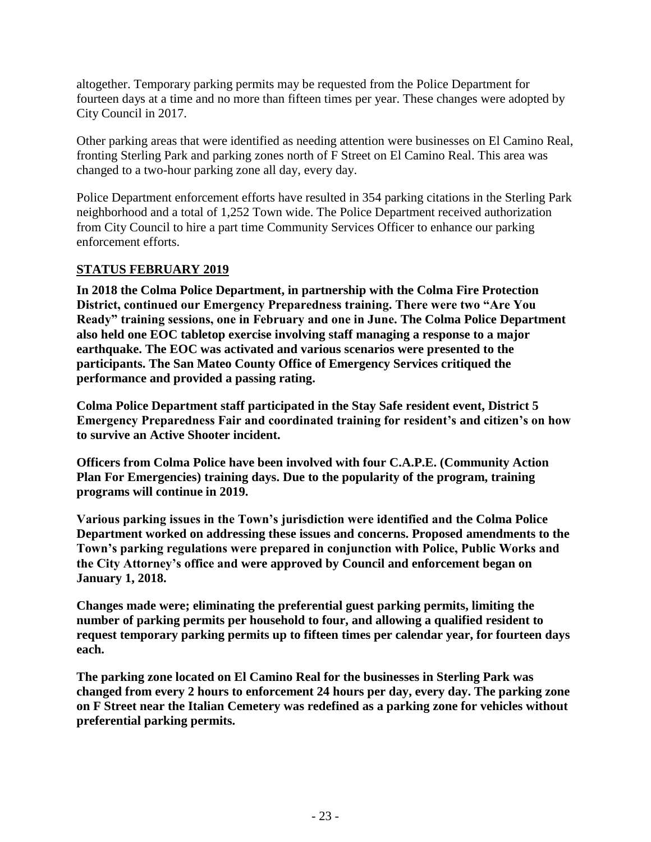altogether. Temporary parking permits may be requested from the Police Department for fourteen days at a time and no more than fifteen times per year. These changes were adopted by City Council in 2017.

Other parking areas that were identified as needing attention were businesses on El Camino Real, fronting Sterling Park and parking zones north of F Street on El Camino Real. This area was changed to a two-hour parking zone all day, every day.

Police Department enforcement efforts have resulted in 354 parking citations in the Sterling Park neighborhood and a total of 1,252 Town wide. The Police Department received authorization from City Council to hire a part time Community Services Officer to enhance our parking enforcement efforts.

# **STATUS FEBRUARY 2019**

**In 2018 the Colma Police Department, in partnership with the Colma Fire Protection District, continued our Emergency Preparedness training. There were two "Are You Ready" training sessions, one in February and one in June. The Colma Police Department also held one EOC tabletop exercise involving staff managing a response to a major earthquake. The EOC was activated and various scenarios were presented to the participants. The San Mateo County Office of Emergency Services critiqued the performance and provided a passing rating.**

**Colma Police Department staff participated in the Stay Safe resident event, District 5 Emergency Preparedness Fair and coordinated training for resident's and citizen's on how to survive an Active Shooter incident.**

**Officers from Colma Police have been involved with four C.A.P.E. (Community Action Plan For Emergencies) training days. Due to the popularity of the program, training programs will continue in 2019.**

**Various parking issues in the Town's jurisdiction were identified and the Colma Police Department worked on addressing these issues and concerns. Proposed amendments to the Town's parking regulations were prepared in conjunction with Police, Public Works and the City Attorney's office and were approved by Council and enforcement began on January 1, 2018.** 

**Changes made were; eliminating the preferential guest parking permits, limiting the number of parking permits per household to four, and allowing a qualified resident to request temporary parking permits up to fifteen times per calendar year, for fourteen days each.** 

**The parking zone located on El Camino Real for the businesses in Sterling Park was changed from every 2 hours to enforcement 24 hours per day, every day. The parking zone on F Street near the Italian Cemetery was redefined as a parking zone for vehicles without preferential parking permits.**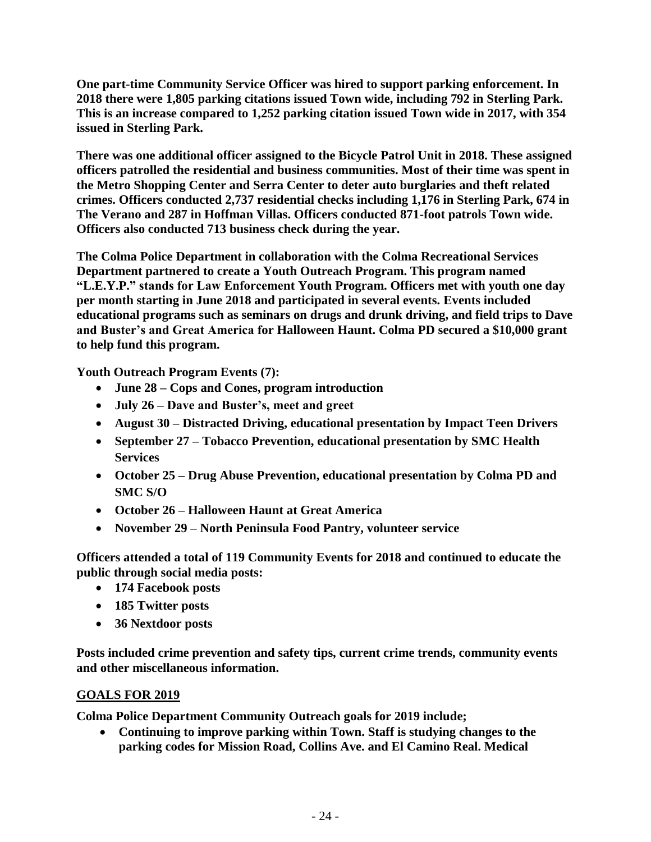**One part-time Community Service Officer was hired to support parking enforcement. In 2018 there were 1,805 parking citations issued Town wide, including 792 in Sterling Park. This is an increase compared to 1,252 parking citation issued Town wide in 2017, with 354 issued in Sterling Park.** 

**There was one additional officer assigned to the Bicycle Patrol Unit in 2018. These assigned officers patrolled the residential and business communities. Most of their time was spent in the Metro Shopping Center and Serra Center to deter auto burglaries and theft related crimes. Officers conducted 2,737 residential checks including 1,176 in Sterling Park, 674 in The Verano and 287 in Hoffman Villas. Officers conducted 871-foot patrols Town wide. Officers also conducted 713 business check during the year.**

**The Colma Police Department in collaboration with the Colma Recreational Services Department partnered to create a Youth Outreach Program. This program named "L.E.Y.P." stands for Law Enforcement Youth Program. Officers met with youth one day per month starting in June 2018 and participated in several events. Events included educational programs such as seminars on drugs and drunk driving, and field trips to Dave and Buster's and Great America for Halloween Haunt. Colma PD secured a \$10,000 grant to help fund this program.**

**Youth Outreach Program Events (7):**

- **June 28 – Cops and Cones, program introduction**
- **July 26 – Dave and Buster's, meet and greet**
- **August 30 – Distracted Driving, educational presentation by Impact Teen Drivers**
- **September 27 – Tobacco Prevention, educational presentation by SMC Health Services**
- **October 25 – Drug Abuse Prevention, educational presentation by Colma PD and SMC S/O**
- **October 26 – Halloween Haunt at Great America**
- **November 29 – North Peninsula Food Pantry, volunteer service**

**Officers attended a total of 119 Community Events for 2018 and continued to educate the public through social media posts:**

- **174 Facebook posts**
- **185 Twitter posts**
- **36 Nextdoor posts**

**Posts included crime prevention and safety tips, current crime trends, community events and other miscellaneous information.**

# **GOALS FOR 2019**

**Colma Police Department Community Outreach goals for 2019 include;**

• **Continuing to improve parking within Town. Staff is studying changes to the parking codes for Mission Road, Collins Ave. and El Camino Real. Medical**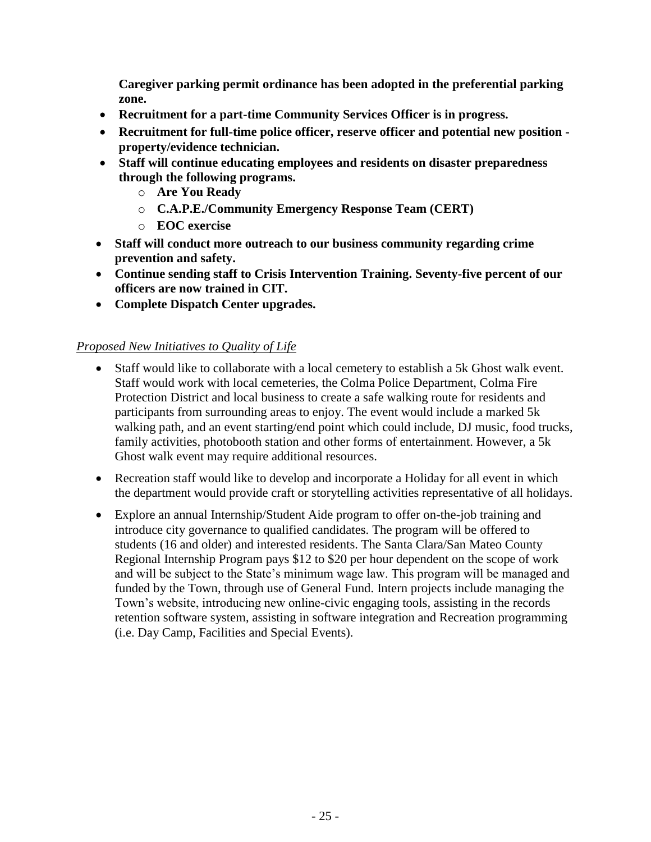**Caregiver parking permit ordinance has been adopted in the preferential parking zone.**

- **Recruitment for a part-time Community Services Officer is in progress.**
- **Recruitment for full-time police officer, reserve officer and potential new position property/evidence technician.**
- **Staff will continue educating employees and residents on disaster preparedness through the following programs.** 
	- o **Are You Ready**
	- o **C.A.P.E./Community Emergency Response Team (CERT)**
	- o **EOC exercise**
- **Staff will conduct more outreach to our business community regarding crime prevention and safety.**
- **Continue sending staff to Crisis Intervention Training. Seventy-five percent of our officers are now trained in CIT.**
- **Complete Dispatch Center upgrades.**

# *Proposed New Initiatives to Quality of Life*

- Staff would like to collaborate with a local cemetery to establish a 5k Ghost walk event. Staff would work with local cemeteries, the Colma Police Department, Colma Fire Protection District and local business to create a safe walking route for residents and participants from surrounding areas to enjoy. The event would include a marked 5k walking path, and an event starting/end point which could include, DJ music, food trucks, family activities, photobooth station and other forms of entertainment. However, a 5k Ghost walk event may require additional resources.
- Recreation staff would like to develop and incorporate a Holiday for all event in which the department would provide craft or storytelling activities representative of all holidays.
- Explore an annual Internship/Student Aide program to offer on-the-job training and introduce city governance to qualified candidates. The program will be offered to students (16 and older) and interested residents. The Santa Clara/San Mateo County Regional Internship Program pays \$12 to \$20 per hour dependent on the scope of work and will be subject to the State's minimum wage law. This program will be managed and funded by the Town, through use of General Fund. Intern projects include managing the Town's website, introducing new online-civic engaging tools, assisting in the records retention software system, assisting in software integration and Recreation programming (i.e. Day Camp, Facilities and Special Events).